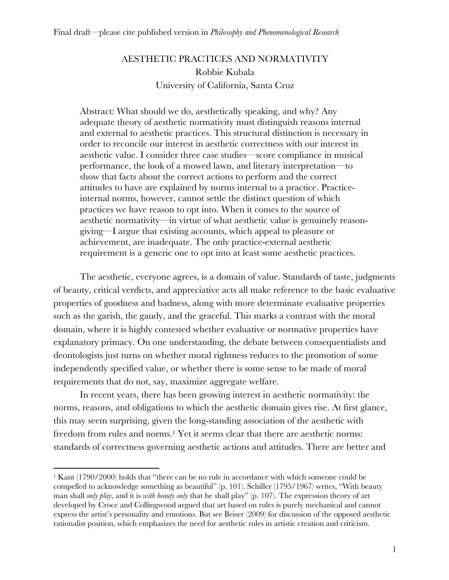# AESTHETIC PRACTICES AND NORMATIVITY Robbie Kubala University of California, Santa Cruz

Abstract: What should we do, aesthetically speaking, and why? Any adequate theory of aesthetic normativity must distinguish reasons internal and external to aesthetic practices. This structural distinction is necessary in order to reconcile our interest in aesthetic correctness with our interest in aesthetic value. I consider three case studies—score compliance in musical performance, the look of a mowed lawn, and literary interpretation—to show that facts about the correct actions to perform and the correct attitudes to have are explained by norms internal to a practice. Practiceinternal norms, however, cannot settle the distinct question of which practices we have reason to opt into. When it comes to the source of aesthetic normativity—in virtue of what aesthetic value is genuinely reasongiving—I argue that existing accounts, which appeal to pleasure or achievement, are inadequate. The only practice-external aesthetic requirement is a generic one to opt into at least some aesthetic practices.

The aesthetic, everyone agrees, is a domain of value. Standards of taste, judgments of beauty, critical verdicts, and appreciative acts all make reference to the basic evaluative properties of goodness and badness, along with more determinate evaluative properties such as the garish, the gaudy, and the graceful. This marks a contrast with the moral domain, where it is highly contested whether evaluative or normative properties have explanatory primacy. On one understanding, the debate between consequentialists and deontologists just turns on whether moral rightness reduces to the promotion of some independently specified value, or whether there is some sense to be made of moral requirements that do not, say, maximize aggregate welfare.

In recent years, there has been growing interest in aesthetic normativity: the norms, reasons, and obligations to which the aesthetic domain gives rise. At first glance, this may seem surprising, given the long-standing association of the aesthetic with freedom from rules and norms.<sup>1</sup> Yet it seems clear that there are aesthetic norms: standards of correctness governing aesthetic actions and attitudes. There are better and

 $1$  Kant (1790/2000) holds that "there can be no rule in accordance with which someone could be compelled to acknowledge something as beautiful" (p. 101). Schiller (1795/1967) writes, "With beauty man shall *only play*, and it is *with beauty only* that he shall play" (p. 107). The expression theory of art developed by Croce and Collingwood argued that art based on rules is purely mechanical and cannot express the artist's personality and emotions. But see Beiser (2009) for discussion of the opposed aesthetic rationalist position, which emphasizes the need for aesthetic rules in artistic creation and criticism.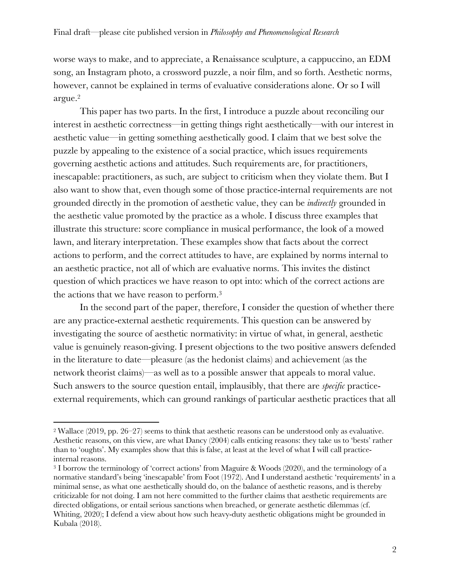worse ways to make, and to appreciate, a Renaissance sculpture, a cappuccino, an EDM song, an Instagram photo, a crossword puzzle, a noir film, and so forth. Aesthetic norms, however, cannot be explained in terms of evaluative considerations alone. Or so I will argue.2

This paper has two parts. In the first, I introduce a puzzle about reconciling our interest in aesthetic correctness—in getting things right aesthetically—with our interest in aesthetic value—in getting something aesthetically good. I claim that we best solve the puzzle by appealing to the existence of a social practice, which issues requirements governing aesthetic actions and attitudes. Such requirements are, for practitioners, inescapable: practitioners, as such, are subject to criticism when they violate them. But I also want to show that, even though some of those practice-internal requirements are not grounded directly in the promotion of aesthetic value, they can be *indirectly* grounded in the aesthetic value promoted by the practice as a whole. I discuss three examples that illustrate this structure: score compliance in musical performance, the look of a mowed lawn, and literary interpretation. These examples show that facts about the correct actions to perform, and the correct attitudes to have, are explained by norms internal to an aesthetic practice, not all of which are evaluative norms. This invites the distinct question of which practices we have reason to opt into: which of the correct actions are the actions that we have reason to perform.3

In the second part of the paper, therefore, I consider the question of whether there are any practice-external aesthetic requirements. This question can be answered by investigating the source of aesthetic normativity: in virtue of what, in general, aesthetic value is genuinely reason-giving. I present objections to the two positive answers defended in the literature to date—pleasure (as the hedonist claims) and achievement (as the network theorist claims)—as well as to a possible answer that appeals to moral value. Such answers to the source question entail, implausibly, that there are *specific* practiceexternal requirements, which can ground rankings of particular aesthetic practices that all

<sup>2</sup> Wallace (2019, pp. 26–27) seems to think that aesthetic reasons can be understood only as evaluative. Aesthetic reasons, on this view, are what Dancy (2004) calls enticing reasons: they take us to 'bests' rather than to 'oughts'. My examples show that this is false, at least at the level of what I will call practiceinternal reasons.

<sup>3</sup> I borrow the terminology of 'correct actions' from Maguire & Woods (2020), and the terminology of a normative standard's being 'inescapable' from Foot (1972). And I understand aesthetic 'requirements' in a minimal sense, as what one aesthetically should do, on the balance of aesthetic reasons, and is thereby criticizable for not doing. I am not here committed to the further claims that aesthetic requirements are directed obligations, or entail serious sanctions when breached, or generate aesthetic dilemmas (cf. Whiting, 2020); I defend a view about how such heavy-duty aesthetic obligations might be grounded in Kubala (2018).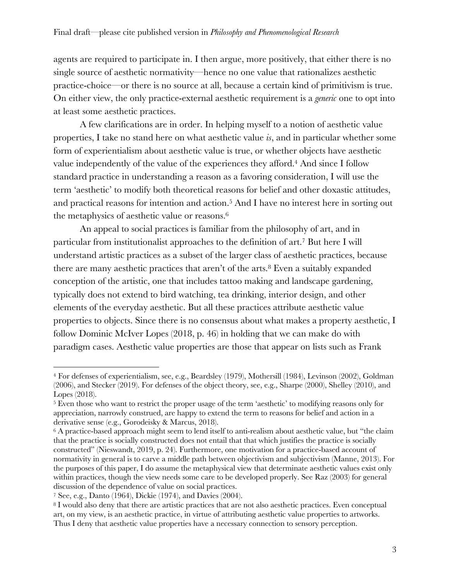agents are required to participate in. I then argue, more positively, that either there is no single source of aesthetic normativity—hence no one value that rationalizes aesthetic practice-choice—or there is no source at all, because a certain kind of primitivism is true. On either view, the only practice-external aesthetic requirement is a *generic* one to opt into at least some aesthetic practices.

A few clarifications are in order. In helping myself to a notion of aesthetic value properties, I take no stand here on what aesthetic value *is*, and in particular whether some form of experientialism about aesthetic value is true, or whether objects have aesthetic value independently of the value of the experiences they afford.4 And since I follow standard practice in understanding a reason as a favoring consideration, I will use the term 'aesthetic' to modify both theoretical reasons for belief and other doxastic attitudes, and practical reasons for intention and action.5 And I have no interest here in sorting out the metaphysics of aesthetic value or reasons.6

An appeal to social practices is familiar from the philosophy of art, and in particular from institutionalist approaches to the definition of art.7 But here I will understand artistic practices as a subset of the larger class of aesthetic practices, because there are many aesthetic practices that aren't of the arts.<sup>8</sup> Even a suitably expanded conception of the artistic, one that includes tattoo making and landscape gardening, typically does not extend to bird watching, tea drinking, interior design, and other elements of the everyday aesthetic. But all these practices attribute aesthetic value properties to objects. Since there is no consensus about what makes a property aesthetic, I follow Dominic McIver Lopes (2018, p. 46) in holding that we can make do with paradigm cases. Aesthetic value properties are those that appear on lists such as Frank

<sup>4</sup> For defenses of experientialism, see, e.g., Beardsley (1979), Mothersill (1984), Levinson (2002), Goldman (2006), and Stecker (2019). For defenses of the object theory, see, e.g., Sharpe (2000), Shelley (2010), and Lopes (2018).

<sup>5</sup> Even those who want to restrict the proper usage of the term 'aesthetic' to modifying reasons only for appreciation, narrowly construed, are happy to extend the term to reasons for belief and action in a derivative sense (e.g., Gorodeisky & Marcus, 2018).

<sup>&</sup>lt;sup>6</sup> A practice-based approach might seem to lend itself to anti-realism about aesthetic value, but "the claim that the practice is socially constructed does not entail that that which justifies the practice is socially constructed" (Nieswandt, 2019, p. 24). Furthermore, one motivation for a practice-based account of normativity in general is to carve a middle path between objectivism and subjectivism (Manne, 2013). For the purposes of this paper, I do assume the metaphysical view that determinate aesthetic values exist only within practices, though the view needs some care to be developed properly. See Raz (2003) for general discussion of the dependence of value on social practices.

<sup>7</sup> See, e.g., Danto (1964), Dickie (1974), and Davies (2004).

<sup>8</sup> I would also deny that there are artistic practices that are not also aesthetic practices. Even conceptual art, on my view, is an aesthetic practice, in virtue of attributing aesthetic value properties to artworks. Thus I deny that aesthetic value properties have a necessary connection to sensory perception.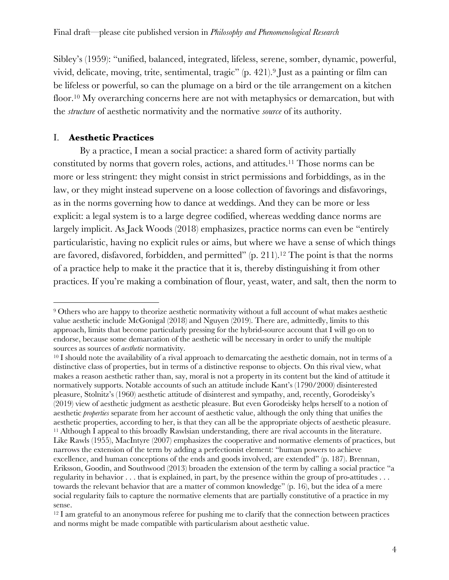Sibley's (1959): "unified, balanced, integrated, lifeless, serene, somber, dynamic, powerful, vivid, delicate, moving, trite, sentimental, tragic" (p. 421).9 Just as a painting or film can be lifeless or powerful, so can the plumage on a bird or the tile arrangement on a kitchen floor.<sup>10</sup> My overarching concerns here are not with metaphysics or demarcation, but with the *structure* of aesthetic normativity and the normative *source* of its authority.

## I. **Aesthetic Practices**

By a practice, I mean a social practice: a shared form of activity partially constituted by norms that govern roles, actions, and attitudes.11 Those norms can be more or less stringent: they might consist in strict permissions and forbiddings, as in the law, or they might instead supervene on a loose collection of favorings and disfavorings, as in the norms governing how to dance at weddings. And they can be more or less explicit: a legal system is to a large degree codified, whereas wedding dance norms are largely implicit. As Jack Woods (2018) emphasizes, practice norms can even be "entirely particularistic, having no explicit rules or aims, but where we have a sense of which things are favored, disfavored, forbidden, and permitted" (p. 211).12 The point is that the norms of a practice help to make it the practice that it is, thereby distinguishing it from other practices. If you're making a combination of flour, yeast, water, and salt, then the norm to

<sup>9</sup> Others who are happy to theorize aesthetic normativity without a full account of what makes aesthetic value aesthetic include McGonigal (2018) and Nguyen (2019). There are, admittedly, limits to this approach, limits that become particularly pressing for the hybrid-source account that I will go on to endorse, because some demarcation of the aesthetic will be necessary in order to unify the multiple sources as sources of *aesthetic* normativity.

<sup>10</sup> I should note the availability of a rival approach to demarcating the aesthetic domain, not in terms of a distinctive class of properties, but in terms of a distinctive response to objects. On this rival view, what makes a reason aesthetic rather than, say, moral is not a property in its content but the kind of attitude it normatively supports. Notable accounts of such an attitude include Kant's (1790/2000) disinterested pleasure, Stolnitz's (1960) aesthetic attitude of disinterest and sympathy, and, recently, Gorodeisky's (2019) view of aesthetic judgment as aesthetic pleasure. But even Gorodeisky helps herself to a notion of aesthetic *properties* separate from her account of aesthetic value, although the only thing that unifies the aesthetic properties, according to her, is that they can all be the appropriate objects of aesthetic pleasure. <sup>11</sup> Although I appeal to this broadly Rawlsian understanding, there are rival accounts in the literature. Like Rawls (1955), MacIntyre (2007) emphasizes the cooperative and normative elements of practices, but narrows the extension of the term by adding a perfectionist element: "human powers to achieve excellence, and human conceptions of the ends and goods involved, are extended" (p. 187). Brennan, Eriksson, Goodin, and Southwood (2013) broaden the extension of the term by calling a social practice "a regularity in behavior . . . that is explained, in part, by the presence within the group of pro-attitudes . . . towards the relevant behavior that are a matter of common knowledge" (p. 16), but the idea of a mere social regularity fails to capture the normative elements that are partially constitutive of a practice in my sense.

 $12$  I am grateful to an anonymous referee for pushing me to clarify that the connection between practices and norms might be made compatible with particularism about aesthetic value.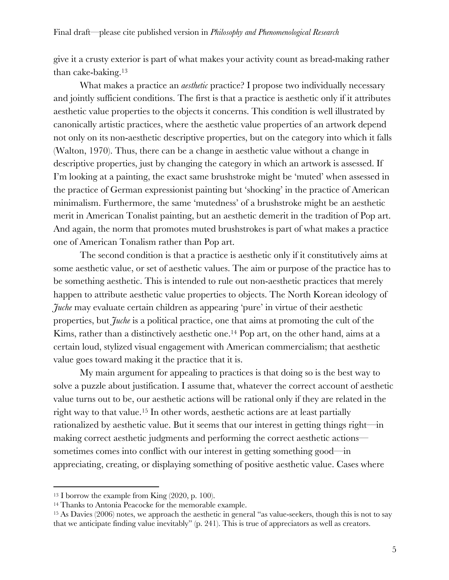give it a crusty exterior is part of what makes your activity count as bread-making rather than cake-baking.13

What makes a practice an *aesthetic* practice? I propose two individually necessary and jointly sufficient conditions. The first is that a practice is aesthetic only if it attributes aesthetic value properties to the objects it concerns. This condition is well illustrated by canonically artistic practices, where the aesthetic value properties of an artwork depend not only on its non-aesthetic descriptive properties, but on the category into which it falls (Walton, 1970). Thus, there can be a change in aesthetic value without a change in descriptive properties, just by changing the category in which an artwork is assessed. If I'm looking at a painting, the exact same brushstroke might be 'muted' when assessed in the practice of German expressionist painting but 'shocking' in the practice of American minimalism. Furthermore, the same 'mutedness' of a brushstroke might be an aesthetic merit in American Tonalist painting, but an aesthetic demerit in the tradition of Pop art. And again, the norm that promotes muted brushstrokes is part of what makes a practice one of American Tonalism rather than Pop art.

The second condition is that a practice is aesthetic only if it constitutively aims at some aesthetic value, or set of aesthetic values. The aim or purpose of the practice has to be something aesthetic. This is intended to rule out non-aesthetic practices that merely happen to attribute aesthetic value properties to objects. The North Korean ideology of *Juche* may evaluate certain children as appearing 'pure' in virtue of their aesthetic properties, but *Juche* is a political practice, one that aims at promoting the cult of the Kims, rather than a distinctively aesthetic one.<sup>14</sup> Pop art, on the other hand, aims at a certain loud, stylized visual engagement with American commercialism; that aesthetic value goes toward making it the practice that it is.

My main argument for appealing to practices is that doing so is the best way to solve a puzzle about justification. I assume that, whatever the correct account of aesthetic value turns out to be, our aesthetic actions will be rational only if they are related in the right way to that value.15 In other words, aesthetic actions are at least partially rationalized by aesthetic value. But it seems that our interest in getting things right—in making correct aesthetic judgments and performing the correct aesthetic actions sometimes comes into conflict with our interest in getting something good—in appreciating, creating, or displaying something of positive aesthetic value. Cases where

<sup>13</sup> I borrow the example from King (2020, p. 100).

<sup>14</sup> Thanks to Antonia Peacocke for the memorable example.

<sup>15</sup> As Davies (2006) notes, we approach the aesthetic in general "as value-seekers, though this is not to say that we anticipate finding value inevitably" (p. 241). This is true of appreciators as well as creators.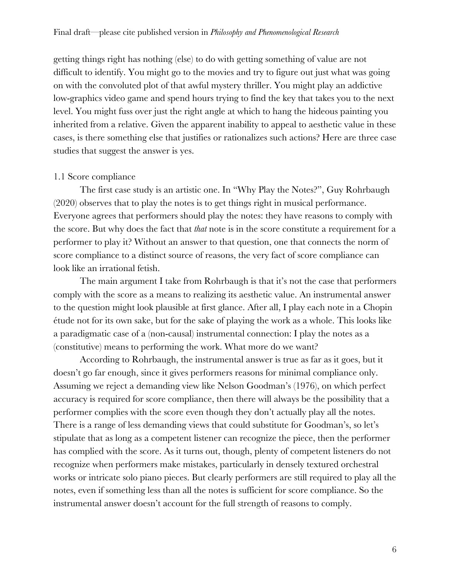getting things right has nothing (else) to do with getting something of value are not difficult to identify. You might go to the movies and try to figure out just what was going on with the convoluted plot of that awful mystery thriller. You might play an addictive low-graphics video game and spend hours trying to find the key that takes you to the next level. You might fuss over just the right angle at which to hang the hideous painting you inherited from a relative. Given the apparent inability to appeal to aesthetic value in these cases, is there something else that justifies or rationalizes such actions? Here are three case studies that suggest the answer is yes.

## 1.1 Score compliance

The first case study is an artistic one. In "Why Play the Notes?", Guy Rohrbaugh (2020) observes that to play the notes is to get things right in musical performance. Everyone agrees that performers should play the notes: they have reasons to comply with the score. But why does the fact that *that* note is in the score constitute a requirement for a performer to play it? Without an answer to that question, one that connects the norm of score compliance to a distinct source of reasons, the very fact of score compliance can look like an irrational fetish.

The main argument I take from Rohrbaugh is that it's not the case that performers comply with the score as a means to realizing its aesthetic value. An instrumental answer to the question might look plausible at first glance. After all, I play each note in a Chopin étude not for its own sake, but for the sake of playing the work as a whole. This looks like a paradigmatic case of a (non-causal) instrumental connection: I play the notes as a (constitutive) means to performing the work. What more do we want?

According to Rohrbaugh, the instrumental answer is true as far as it goes, but it doesn't go far enough, since it gives performers reasons for minimal compliance only. Assuming we reject a demanding view like Nelson Goodman's (1976), on which perfect accuracy is required for score compliance, then there will always be the possibility that a performer complies with the score even though they don't actually play all the notes. There is a range of less demanding views that could substitute for Goodman's, so let's stipulate that as long as a competent listener can recognize the piece, then the performer has complied with the score. As it turns out, though, plenty of competent listeners do not recognize when performers make mistakes, particularly in densely textured orchestral works or intricate solo piano pieces. But clearly performers are still required to play all the notes, even if something less than all the notes is sufficient for score compliance. So the instrumental answer doesn't account for the full strength of reasons to comply.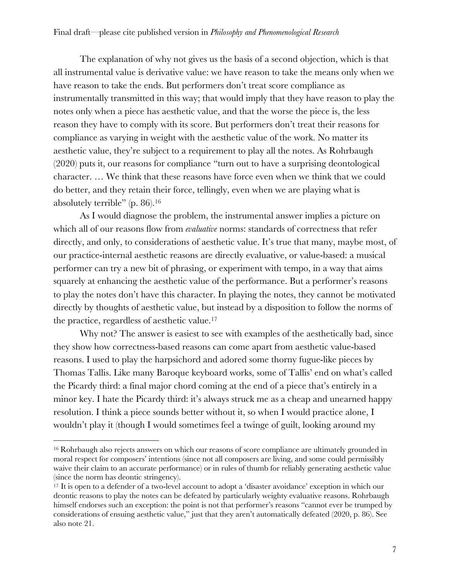The explanation of why not gives us the basis of a second objection, which is that all instrumental value is derivative value: we have reason to take the means only when we have reason to take the ends. But performers don't treat score compliance as instrumentally transmitted in this way; that would imply that they have reason to play the notes only when a piece has aesthetic value, and that the worse the piece is, the less reason they have to comply with its score. But performers don't treat their reasons for compliance as varying in weight with the aesthetic value of the work. No matter its aesthetic value, they're subject to a requirement to play all the notes. As Rohrbaugh (2020) puts it, our reasons for compliance "turn out to have a surprising deontological character. … We think that these reasons have force even when we think that we could do better, and they retain their force, tellingly, even when we are playing what is absolutely terrible" (p. 86).16

As I would diagnose the problem, the instrumental answer implies a picture on which all of our reasons flow from *evaluative* norms: standards of correctness that refer directly, and only, to considerations of aesthetic value. It's true that many, maybe most, of our practice-internal aesthetic reasons are directly evaluative, or value-based: a musical performer can try a new bit of phrasing, or experiment with tempo, in a way that aims squarely at enhancing the aesthetic value of the performance. But a performer's reasons to play the notes don't have this character. In playing the notes, they cannot be motivated directly by thoughts of aesthetic value, but instead by a disposition to follow the norms of the practice, regardless of aesthetic value.17

Why not? The answer is easiest to see with examples of the aesthetically bad, since they show how correctness-based reasons can come apart from aesthetic value-based reasons. I used to play the harpsichord and adored some thorny fugue-like pieces by Thomas Tallis. Like many Baroque keyboard works, some of Tallis' end on what's called the Picardy third: a final major chord coming at the end of a piece that's entirely in a minor key. I hate the Picardy third: it's always struck me as a cheap and unearned happy resolution. I think a piece sounds better without it, so when I would practice alone, I wouldn't play it (though I would sometimes feel a twinge of guilt, looking around my

<sup>&</sup>lt;sup>16</sup> Rohrbaugh also rejects answers on which our reasons of score compliance are ultimately grounded in moral respect for composers' intentions (since not all composers are living, and some could permissibly waive their claim to an accurate performance) or in rules of thumb for reliably generating aesthetic value (since the norm has deontic stringency).

<sup>17</sup> It is open to a defender of a two-level account to adopt a 'disaster avoidance' exception in which our deontic reasons to play the notes can be defeated by particularly weighty evaluative reasons. Rohrbaugh himself endorses such an exception: the point is not that performer's reasons "cannot ever be trumped by considerations of ensuing aesthetic value," just that they aren't automatically defeated (2020, p. 86). See also note 21.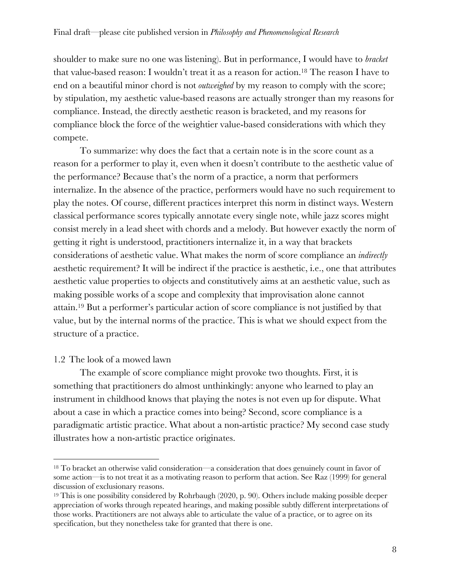shoulder to make sure no one was listening). But in performance, I would have to *bracket* that value-based reason: I wouldn't treat it as a reason for action.18 The reason I have to end on a beautiful minor chord is not *outweighed* by my reason to comply with the score; by stipulation, my aesthetic value-based reasons are actually stronger than my reasons for compliance. Instead, the directly aesthetic reason is bracketed, and my reasons for compliance block the force of the weightier value-based considerations with which they compete.

To summarize: why does the fact that a certain note is in the score count as a reason for a performer to play it, even when it doesn't contribute to the aesthetic value of the performance? Because that's the norm of a practice, a norm that performers internalize. In the absence of the practice, performers would have no such requirement to play the notes. Of course, different practices interpret this norm in distinct ways. Western classical performance scores typically annotate every single note, while jazz scores might consist merely in a lead sheet with chords and a melody. But however exactly the norm of getting it right is understood, practitioners internalize it, in a way that brackets considerations of aesthetic value. What makes the norm of score compliance an *indirectly*  aesthetic requirement? It will be indirect if the practice is aesthetic, i.e., one that attributes aesthetic value properties to objects and constitutively aims at an aesthetic value, such as making possible works of a scope and complexity that improvisation alone cannot attain.19 But a performer's particular action of score compliance is not justified by that value, but by the internal norms of the practice. This is what we should expect from the structure of a practice.

#### 1.2 The look of a mowed lawn

The example of score compliance might provoke two thoughts. First, it is something that practitioners do almost unthinkingly: anyone who learned to play an instrument in childhood knows that playing the notes is not even up for dispute. What about a case in which a practice comes into being? Second, score compliance is a paradigmatic artistic practice. What about a non-artistic practice? My second case study illustrates how a non-artistic practice originates.

<sup>18</sup> To bracket an otherwise valid consideration—a consideration that does genuinely count in favor of some action—is to not treat it as a motivating reason to perform that action. See Raz (1999) for general discussion of exclusionary reasons.

<sup>&</sup>lt;sup>19</sup> This is one possibility considered by Rohrbaugh (2020, p. 90). Others include making possible deeper appreciation of works through repeated hearings, and making possible subtly different interpretations of those works. Practitioners are not always able to articulate the value of a practice, or to agree on its specification, but they nonetheless take for granted that there is one.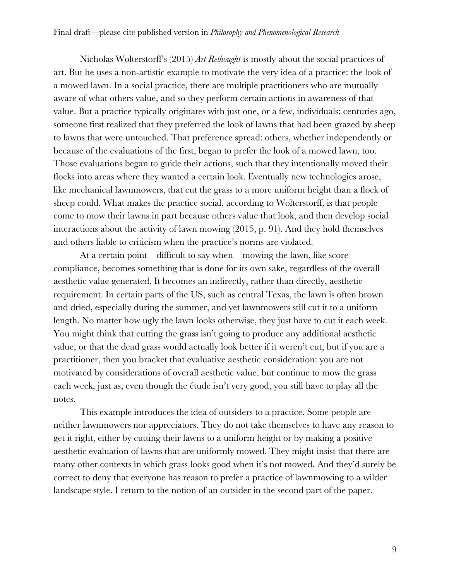Nicholas Wolterstorff's (2015) *Art Rethought* is mostly about the social practices of art. But he uses a non-artistic example to motivate the very idea of a practice: the look of a mowed lawn. In a social practice, there are multiple practitioners who are mutually aware of what others value, and so they perform certain actions in awareness of that value. But a practice typically originates with just one, or a few, individuals: centuries ago, someone first realized that they preferred the look of lawns that had been grazed by sheep to lawns that were untouched. That preference spread: others, whether independently or because of the evaluations of the first, began to prefer the look of a mowed lawn, too. Those evaluations began to guide their actions, such that they intentionally moved their flocks into areas where they wanted a certain look. Eventually new technologies arose, like mechanical lawnmowers, that cut the grass to a more uniform height than a flock of sheep could. What makes the practice social, according to Wolterstorff, is that people come to mow their lawns in part because others value that look, and then develop social interactions about the activity of lawn mowing (2015, p. 91). And they hold themselves and others liable to criticism when the practice's norms are violated.

At a certain point—difficult to say when—mowing the lawn, like score compliance, becomes something that is done for its own sake, regardless of the overall aesthetic value generated. It becomes an indirectly, rather than directly, aesthetic requirement. In certain parts of the US, such as central Texas, the lawn is often brown and dried, especially during the summer, and yet lawnmowers still cut it to a uniform length. No matter how ugly the lawn looks otherwise, they just have to cut it each week. You might think that cutting the grass isn't going to produce any additional aesthetic value, or that the dead grass would actually look better if it weren't cut, but if you are a practitioner, then you bracket that evaluative aesthetic consideration: you are not motivated by considerations of overall aesthetic value, but continue to mow the grass each week, just as, even though the étude isn't very good, you still have to play all the notes.

This example introduces the idea of outsiders to a practice. Some people are neither lawnmowers nor appreciators. They do not take themselves to have any reason to get it right, either by cutting their lawns to a uniform height or by making a positive aesthetic evaluation of lawns that are uniformly mowed. They might insist that there are many other contexts in which grass looks good when it's not mowed. And they'd surely be correct to deny that everyone has reason to prefer a practice of lawnmowing to a wilder landscape style. I return to the notion of an outsider in the second part of the paper.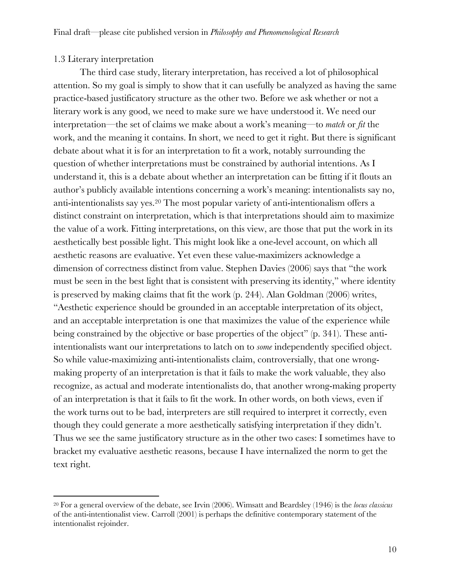#### 1.3 Literary interpretation

The third case study, literary interpretation, has received a lot of philosophical attention. So my goal is simply to show that it can usefully be analyzed as having the same practice-based justificatory structure as the other two. Before we ask whether or not a literary work is any good, we need to make sure we have understood it. We need our interpretation—the set of claims we make about a work's meaning—to *match* or *fit* the work, and the meaning it contains. In short, we need to get it right. But there is significant debate about what it is for an interpretation to fit a work, notably surrounding the question of whether interpretations must be constrained by authorial intentions. As I understand it, this is a debate about whether an interpretation can be fitting if it flouts an author's publicly available intentions concerning a work's meaning: intentionalists say no, anti-intentionalists say yes.20 The most popular variety of anti-intentionalism offers a distinct constraint on interpretation, which is that interpretations should aim to maximize the value of a work. Fitting interpretations, on this view, are those that put the work in its aesthetically best possible light. This might look like a one-level account, on which all aesthetic reasons are evaluative. Yet even these value-maximizers acknowledge a dimension of correctness distinct from value. Stephen Davies (2006) says that "the work must be seen in the best light that is consistent with preserving its identity," where identity is preserved by making claims that fit the work (p. 244). Alan Goldman (2006) writes, "Aesthetic experience should be grounded in an acceptable interpretation of its object, and an acceptable interpretation is one that maximizes the value of the experience while being constrained by the objective or base properties of the object" (p. 341). These antiintentionalists want our interpretations to latch on to *some* independently specified object. So while value-maximizing anti-intentionalists claim, controversially, that one wrongmaking property of an interpretation is that it fails to make the work valuable, they also recognize, as actual and moderate intentionalists do, that another wrong-making property of an interpretation is that it fails to fit the work. In other words, on both views, even if the work turns out to be bad, interpreters are still required to interpret it correctly, even though they could generate a more aesthetically satisfying interpretation if they didn't. Thus we see the same justificatory structure as in the other two cases: I sometimes have to bracket my evaluative aesthetic reasons, because I have internalized the norm to get the text right.

<sup>20</sup> For a general overview of the debate, see Irvin (2006). Wimsatt and Beardsley (1946) is the *locus classicus* of the anti-intentionalist view. Carroll (2001) is perhaps the definitive contemporary statement of the intentionalist rejoinder.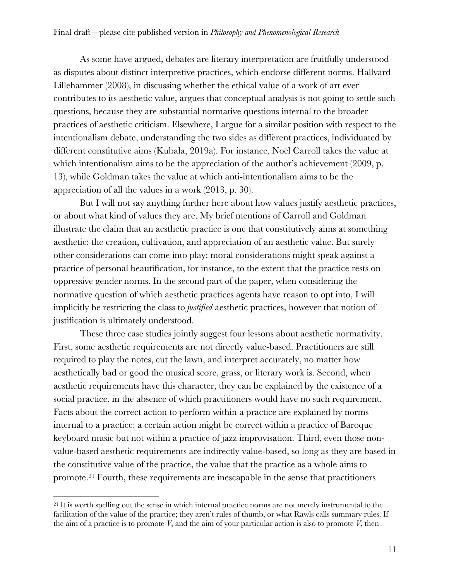As some have argued, debates are literary interpretation are fruitfully understood as disputes about distinct interpretive practices, which endorse different norms. Hallvard Lillehammer (2008), in discussing whether the ethical value of a work of art ever contributes to its aesthetic value, argues that conceptual analysis is not going to settle such questions, because they are substantial normative questions internal to the broader practices of aesthetic criticism. Elsewhere, I argue for a similar position with respect to the intentionalism debate, understanding the two sides as different practices, individuated by different constitutive aims (Kubala, 2019a). For instance, Noël Carroll takes the value at which intentionalism aims to be the appreciation of the author's achievement (2009, p. 13), while Goldman takes the value at which anti-intentionalism aims to be the appreciation of all the values in a work (2013, p. 30).

But I will not say anything further here about how values justify aesthetic practices, or about what kind of values they are. My brief mentions of Carroll and Goldman illustrate the claim that an aesthetic practice is one that constitutively aims at something aesthetic: the creation, cultivation, and appreciation of an aesthetic value. But surely other considerations can come into play: moral considerations might speak against a practice of personal beautification, for instance, to the extent that the practice rests on oppressive gender norms. In the second part of the paper, when considering the normative question of which aesthetic practices agents have reason to opt into, I will implicitly be restricting the class to *justified* aesthetic practices, however that notion of justification is ultimately understood.

These three case studies jointly suggest four lessons about aesthetic normativity. First, some aesthetic requirements are not directly value-based. Practitioners are still required to play the notes, cut the lawn, and interpret accurately, no matter how aesthetically bad or good the musical score, grass, or literary work is. Second, when aesthetic requirements have this character, they can be explained by the existence of a social practice, in the absence of which practitioners would have no such requirement. Facts about the correct action to perform within a practice are explained by norms internal to a practice: a certain action might be correct within a practice of Baroque keyboard music but not within a practice of jazz improvisation. Third, even those nonvalue-based aesthetic requirements are indirectly value-based, so long as they are based in the constitutive value of the practice, the value that the practice as a whole aims to promote.21 Fourth, these requirements are inescapable in the sense that practitioners

<sup>&</sup>lt;sup>21</sup> It is worth spelling out the sense in which internal practice norms are not merely instrumental to the facilitation of the value of the practice; they aren't rules of thumb, or what Rawls calls summary rules. If the aim of a practice is to promote *V*, and the aim of your particular action is also to promote *V*, then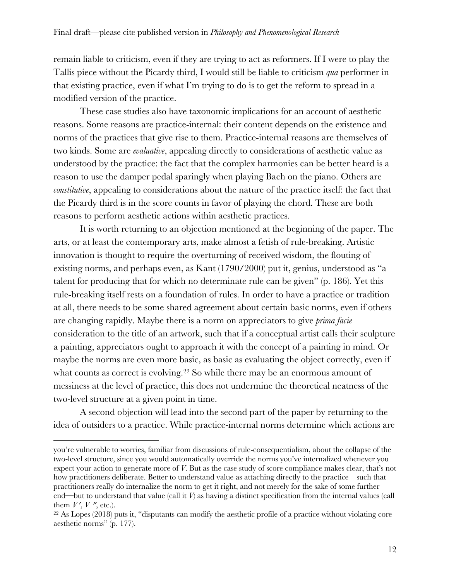remain liable to criticism, even if they are trying to act as reformers. If I were to play the Tallis piece without the Picardy third, I would still be liable to criticism *qua* performer in that existing practice, even if what I'm trying to do is to get the reform to spread in a modified version of the practice.

These case studies also have taxonomic implications for an account of aesthetic reasons. Some reasons are practice-internal: their content depends on the existence and norms of the practices that give rise to them. Practice-internal reasons are themselves of two kinds. Some are *evaluative*, appealing directly to considerations of aesthetic value as understood by the practice: the fact that the complex harmonies can be better heard is a reason to use the damper pedal sparingly when playing Bach on the piano. Others are *constitutive*, appealing to considerations about the nature of the practice itself: the fact that the Picardy third is in the score counts in favor of playing the chord. These are both reasons to perform aesthetic actions within aesthetic practices.

It is worth returning to an objection mentioned at the beginning of the paper. The arts, or at least the contemporary arts, make almost a fetish of rule-breaking. Artistic innovation is thought to require the overturning of received wisdom, the flouting of existing norms, and perhaps even, as Kant (1790/2000) put it, genius, understood as "a talent for producing that for which no determinate rule can be given" (p. 186). Yet this rule-breaking itself rests on a foundation of rules. In order to have a practice or tradition at all, there needs to be some shared agreement about certain basic norms, even if others are changing rapidly. Maybe there is a norm on appreciators to give *prima facie*  consideration to the title of an artwork, such that if a conceptual artist calls their sculpture a painting, appreciators ought to approach it with the concept of a painting in mind. Or maybe the norms are even more basic, as basic as evaluating the object correctly, even if what counts as correct is evolving.<sup>22</sup> So while there may be an enormous amount of messiness at the level of practice, this does not undermine the theoretical neatness of the two-level structure at a given point in time.

A second objection will lead into the second part of the paper by returning to the idea of outsiders to a practice. While practice-internal norms determine which actions are

you're vulnerable to worries, familiar from discussions of rule-consequentialism, about the collapse of the two-level structure, since you would automatically override the norms you've internalized whenever you expect your action to generate more of *V*. But as the case study of score compliance makes clear, that's not how practitioners deliberate. Better to understand value as attaching directly to the practice—such that practitioners really do internalize the norm to get it right, and not merely for the sake of some further end—but to understand that value (call it *V*) as having a distinct specification from the internal values (call them  $V'$ ,  $V''$ , etc.).

<sup>22</sup> As Lopes (2018) puts it, "disputants can modify the aesthetic profile of a practice without violating core aesthetic norms" (p. 177).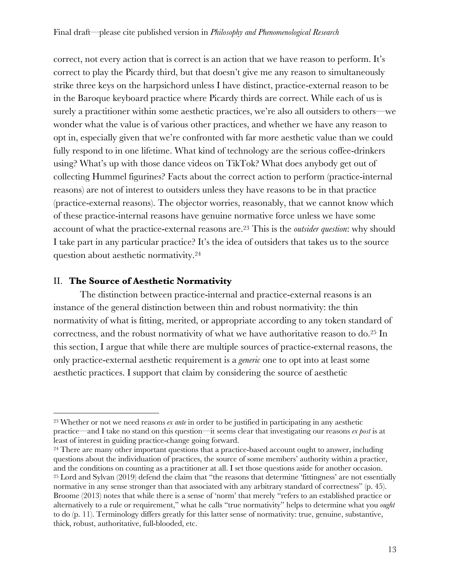correct, not every action that is correct is an action that we have reason to perform. It's correct to play the Picardy third, but that doesn't give me any reason to simultaneously strike three keys on the harpsichord unless I have distinct, practice-external reason to be in the Baroque keyboard practice where Picardy thirds are correct. While each of us is surely a practitioner within some aesthetic practices, we're also all outsiders to others—we wonder what the value is of various other practices, and whether we have any reason to opt in, especially given that we're confronted with far more aesthetic value than we could fully respond to in one lifetime. What kind of technology are the serious coffee-drinkers using? What's up with those dance videos on TikTok? What does anybody get out of collecting Hummel figurines? Facts about the correct action to perform (practice-internal reasons) are not of interest to outsiders unless they have reasons to be in that practice (practice-external reasons). The objector worries, reasonably, that we cannot know which of these practice-internal reasons have genuine normative force unless we have some account of what the practice-external reasons are.23 This is the *outsider question*: why should I take part in any particular practice? It's the idea of outsiders that takes us to the source question about aesthetic normativity.24

## II. **The Source of Aesthetic Normativity**

The distinction between practice-internal and practice-external reasons is an instance of the general distinction between thin and robust normativity: the thin normativity of what is fitting, merited, or appropriate according to any token standard of correctness, and the robust normativity of what we have authoritative reason to do.25 In this section, I argue that while there are multiple sources of practice-external reasons, the only practice-external aesthetic requirement is a *generic* one to opt into at least some aesthetic practices. I support that claim by considering the source of aesthetic

<sup>23</sup> Whether or not we need reasons *ex ante* in order to be justified in participating in any aesthetic practice—and I take no stand on this question—it seems clear that investigating our reasons *ex post* is at least of interest in guiding practice-change going forward.

<sup>&</sup>lt;sup>24</sup> There are many other important questions that a practice-based account ought to answer, including questions about the individuation of practices, the source of some members' authority within a practice, and the conditions on counting as a practitioner at all. I set those questions aside for another occasion. <sup>25</sup> Lord and Sylvan (2019) defend the claim that "the reasons that determine 'fittingness' are not essentially normative in any sense stronger than that associated with any arbitrary standard of correctness" (p. 45). Broome (2013) notes that while there is a sense of 'norm' that merely "refers to an established practice or alternatively to a rule or requirement," what he calls "true normativity" helps to determine what you *ought* to do (p. 11). Terminology differs greatly for this latter sense of normativity: true, genuine, substantive, thick, robust, authoritative, full-blooded, etc.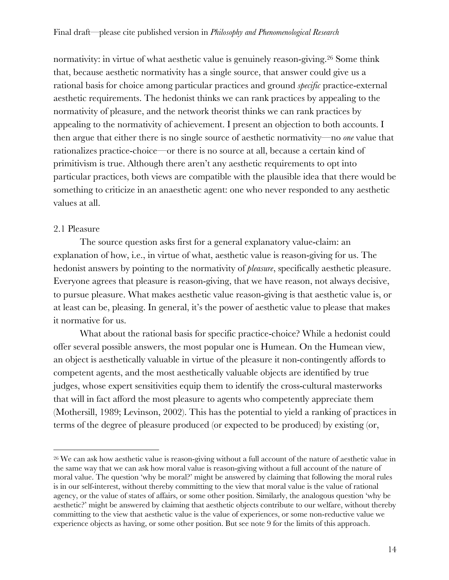normativity: in virtue of what aesthetic value is genuinely reason-giving.26 Some think that, because aesthetic normativity has a single source, that answer could give us a rational basis for choice among particular practices and ground *specific* practice-external aesthetic requirements. The hedonist thinks we can rank practices by appealing to the normativity of pleasure, and the network theorist thinks we can rank practices by appealing to the normativity of achievement. I present an objection to both accounts. I then argue that either there is no single source of aesthetic normativity—no *one* value that rationalizes practice-choice—or there is no source at all, because a certain kind of primitivism is true. Although there aren't any aesthetic requirements to opt into particular practices, both views are compatible with the plausible idea that there would be something to criticize in an anaesthetic agent: one who never responded to any aesthetic values at all.

## 2.1 Pleasure

The source question asks first for a general explanatory value-claim: an explanation of how, i.e., in virtue of what, aesthetic value is reason-giving for us. The hedonist answers by pointing to the normativity of *pleasure*, specifically aesthetic pleasure. Everyone agrees that pleasure is reason-giving, that we have reason, not always decisive, to pursue pleasure. What makes aesthetic value reason-giving is that aesthetic value is, or at least can be, pleasing. In general, it's the power of aesthetic value to please that makes it normative for us.

What about the rational basis for specific practice-choice? While a hedonist could offer several possible answers, the most popular one is Humean. On the Humean view, an object is aesthetically valuable in virtue of the pleasure it non-contingently affords to competent agents, and the most aesthetically valuable objects are identified by true judges, whose expert sensitivities equip them to identify the cross-cultural masterworks that will in fact afford the most pleasure to agents who competently appreciate them (Mothersill, 1989; Levinson, 2002). This has the potential to yield a ranking of practices in terms of the degree of pleasure produced (or expected to be produced) by existing (or,

<sup>26</sup> We can ask how aesthetic value is reason-giving without a full account of the nature of aesthetic value in the same way that we can ask how moral value is reason-giving without a full account of the nature of moral value. The question 'why be moral?' might be answered by claiming that following the moral rules is in our self-interest, without thereby committing to the view that moral value is the value of rational agency, or the value of states of affairs, or some other position. Similarly, the analogous question 'why be aesthetic?' might be answered by claiming that aesthetic objects contribute to our welfare, without thereby committing to the view that aesthetic value is the value of experiences, or some non-reductive value we experience objects as having, or some other position. But see note 9 for the limits of this approach.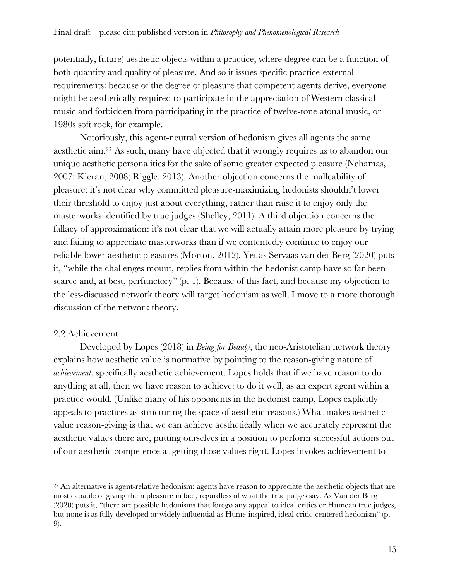potentially, future) aesthetic objects within a practice, where degree can be a function of both quantity and quality of pleasure. And so it issues specific practice-external requirements: because of the degree of pleasure that competent agents derive, everyone might be aesthetically required to participate in the appreciation of Western classical music and forbidden from participating in the practice of twelve-tone atonal music, or 1980s soft rock, for example.

Notoriously, this agent-neutral version of hedonism gives all agents the same aesthetic aim.27 As such, many have objected that it wrongly requires us to abandon our unique aesthetic personalities for the sake of some greater expected pleasure (Nehamas, 2007; Kieran, 2008; Riggle, 2013). Another objection concerns the malleability of pleasure: it's not clear why committed pleasure-maximizing hedonists shouldn't lower their threshold to enjoy just about everything, rather than raise it to enjoy only the masterworks identified by true judges (Shelley, 2011). A third objection concerns the fallacy of approximation: it's not clear that we will actually attain more pleasure by trying and failing to appreciate masterworks than if we contentedly continue to enjoy our reliable lower aesthetic pleasures (Morton, 2012). Yet as Servaas van der Berg (2020) puts it, "while the challenges mount, replies from within the hedonist camp have so far been scarce and, at best, perfunctory" (p. 1). Because of this fact, and because my objection to the less-discussed network theory will target hedonism as well, I move to a more thorough discussion of the network theory.

#### 2.2 Achievement

Developed by Lopes (2018) in *Being for Beauty*, the neo-Aristotelian network theory explains how aesthetic value is normative by pointing to the reason-giving nature of *achievement*, specifically aesthetic achievement. Lopes holds that if we have reason to do anything at all, then we have reason to achieve: to do it well, as an expert agent within a practice would. (Unlike many of his opponents in the hedonist camp, Lopes explicitly appeals to practices as structuring the space of aesthetic reasons.) What makes aesthetic value reason-giving is that we can achieve aesthetically when we accurately represent the aesthetic values there are, putting ourselves in a position to perform successful actions out of our aesthetic competence at getting those values right. Lopes invokes achievement to

<sup>&</sup>lt;sup>27</sup> An alternative is agent-relative hedonism: agents have reason to appreciate the aesthetic objects that are most capable of giving them pleasure in fact, regardless of what the true judges say. As Van der Berg (2020) puts it, "there are possible hedonisms that forego any appeal to ideal critics or Humean true judges, but none is as fully developed or widely influential as Hume-inspired, ideal-critic-centered hedonism" (p. 9).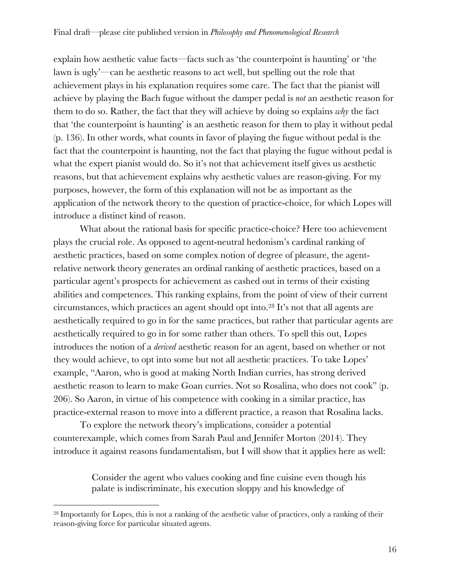explain how aesthetic value facts—facts such as 'the counterpoint is haunting' or 'the lawn is ugly'—can be aesthetic reasons to act well, but spelling out the role that achievement plays in his explanation requires some care. The fact that the pianist will achieve by playing the Bach fugue without the damper pedal is *not* an aesthetic reason for them to do so. Rather, the fact that they will achieve by doing so explains *why* the fact that 'the counterpoint is haunting' is an aesthetic reason for them to play it without pedal (p. 136). In other words, what counts in favor of playing the fugue without pedal is the fact that the counterpoint is haunting, not the fact that playing the fugue without pedal is what the expert pianist would do. So it's not that achievement itself gives us aesthetic reasons, but that achievement explains why aesthetic values are reason-giving. For my purposes, however, the form of this explanation will not be as important as the application of the network theory to the question of practice-choice, for which Lopes will introduce a distinct kind of reason.

What about the rational basis for specific practice-choice? Here too achievement plays the crucial role. As opposed to agent-neutral hedonism's cardinal ranking of aesthetic practices, based on some complex notion of degree of pleasure, the agentrelative network theory generates an ordinal ranking of aesthetic practices, based on a particular agent's prospects for achievement as cashed out in terms of their existing abilities and competences. This ranking explains, from the point of view of their current circumstances, which practices an agent should opt into.28 It's not that all agents are aesthetically required to go in for the same practices, but rather that particular agents are aesthetically required to go in for some rather than others. To spell this out, Lopes introduces the notion of a *derived* aesthetic reason for an agent, based on whether or not they would achieve, to opt into some but not all aesthetic practices. To take Lopes' example, "Aaron, who is good at making North Indian curries, has strong derived aesthetic reason to learn to make Goan curries. Not so Rosalina, who does not cook" (p. 206). So Aaron, in virtue of his competence with cooking in a similar practice, has practice-external reason to move into a different practice, a reason that Rosalina lacks.

To explore the network theory's implications, consider a potential counterexample, which comes from Sarah Paul and Jennifer Morton (2014). They introduce it against reasons fundamentalism, but I will show that it applies here as well:

> Consider the agent who values cooking and fine cuisine even though his palate is indiscriminate, his execution sloppy and his knowledge of

<sup>28</sup> Importantly for Lopes, this is not a ranking of the aesthetic value of practices, only a ranking of their reason-giving force for particular situated agents.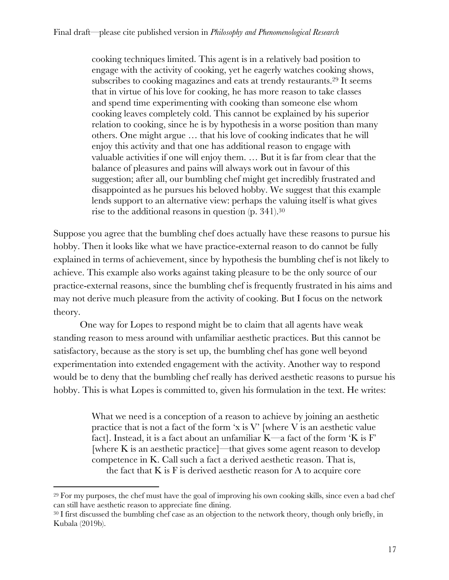cooking techniques limited. This agent is in a relatively bad position to engage with the activity of cooking, yet he eagerly watches cooking shows, subscribes to cooking magazines and eats at trendy restaurants.29 It seems that in virtue of his love for cooking, he has more reason to take classes and spend time experimenting with cooking than someone else whom cooking leaves completely cold. This cannot be explained by his superior relation to cooking, since he is by hypothesis in a worse position than many others. One might argue … that his love of cooking indicates that he will enjoy this activity and that one has additional reason to engage with valuable activities if one will enjoy them. … But it is far from clear that the balance of pleasures and pains will always work out in favour of this suggestion; after all, our bumbling chef might get incredibly frustrated and disappointed as he pursues his beloved hobby. We suggest that this example lends support to an alternative view: perhaps the valuing itself is what gives rise to the additional reasons in question (p. 341).30

Suppose you agree that the bumbling chef does actually have these reasons to pursue his hobby. Then it looks like what we have practice-external reason to do cannot be fully explained in terms of achievement, since by hypothesis the bumbling chef is not likely to achieve. This example also works against taking pleasure to be the only source of our practice-external reasons, since the bumbling chef is frequently frustrated in his aims and may not derive much pleasure from the activity of cooking. But I focus on the network theory.

One way for Lopes to respond might be to claim that all agents have weak standing reason to mess around with unfamiliar aesthetic practices. But this cannot be satisfactory, because as the story is set up, the bumbling chef has gone well beyond experimentation into extended engagement with the activity. Another way to respond would be to deny that the bumbling chef really has derived aesthetic reasons to pursue his hobby. This is what Lopes is committed to, given his formulation in the text. He writes:

> What we need is a conception of a reason to achieve by joining an aesthetic practice that is not a fact of the form  $x$  is  $V'$  [where  $V$  is an aesthetic value fact]. Instead, it is a fact about an unfamiliar  $K$ —a fact of the form 'K is F' [where K is an aesthetic practice]—that gives some agent reason to develop competence in K. Call such a fact a derived aesthetic reason. That is, the fact that  $K$  is  $F$  is derived aesthetic reason for  $A$  to acquire core

<sup>29</sup> For my purposes, the chef must have the goal of improving his own cooking skills, since even a bad chef can still have aesthetic reason to appreciate fine dining.

<sup>&</sup>lt;sup>30</sup> I first discussed the bumbling chef case as an objection to the network theory, though only briefly, in Kubala (2019b).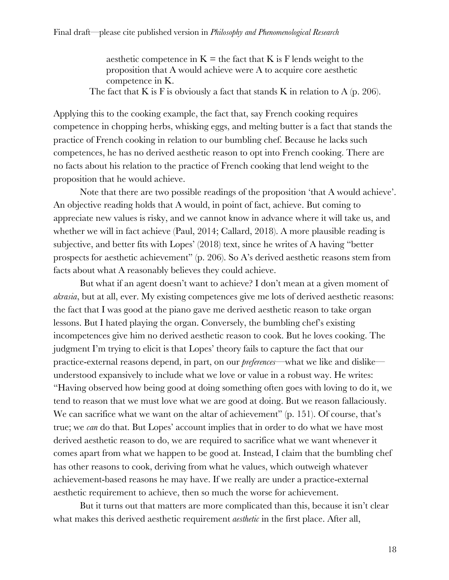aesthetic competence in  $K =$  the fact that K is F lends weight to the proposition that A would achieve were A to acquire core aesthetic competence in K.

The fact that K is F is obviously a fact that stands K in relation to A (p. 206).

Applying this to the cooking example, the fact that, say French cooking requires competence in chopping herbs, whisking eggs, and melting butter is a fact that stands the practice of French cooking in relation to our bumbling chef. Because he lacks such competences, he has no derived aesthetic reason to opt into French cooking. There are no facts about his relation to the practice of French cooking that lend weight to the proposition that he would achieve.

Note that there are two possible readings of the proposition 'that A would achieve'. An objective reading holds that A would, in point of fact, achieve. But coming to appreciate new values is risky, and we cannot know in advance where it will take us, and whether we will in fact achieve (Paul, 2014; Callard, 2018). A more plausible reading is subjective, and better fits with Lopes' (2018) text, since he writes of A having "better prospects for aesthetic achievement" (p. 206). So A's derived aesthetic reasons stem from facts about what A reasonably believes they could achieve.

But what if an agent doesn't want to achieve? I don't mean at a given moment of *akrasia*, but at all, ever. My existing competences give me lots of derived aesthetic reasons: the fact that I was good at the piano gave me derived aesthetic reason to take organ lessons. But I hated playing the organ. Conversely, the bumbling chef's existing incompetences give him no derived aesthetic reason to cook. But he loves cooking. The judgment I'm trying to elicit is that Lopes' theory fails to capture the fact that our practice-external reasons depend, in part, on our *preferences*—what we like and dislike understood expansively to include what we love or value in a robust way. He writes: "Having observed how being good at doing something often goes with loving to do it, we tend to reason that we must love what we are good at doing. But we reason fallaciously. We can sacrifice what we want on the altar of achievement" (p. 151). Of course, that's true; we *can* do that. But Lopes' account implies that in order to do what we have most derived aesthetic reason to do, we are required to sacrifice what we want whenever it comes apart from what we happen to be good at. Instead, I claim that the bumbling chef has other reasons to cook, deriving from what he values, which outweigh whatever achievement-based reasons he may have. If we really are under a practice-external aesthetic requirement to achieve, then so much the worse for achievement.

But it turns out that matters are more complicated than this, because it isn't clear what makes this derived aesthetic requirement *aesthetic* in the first place. After all,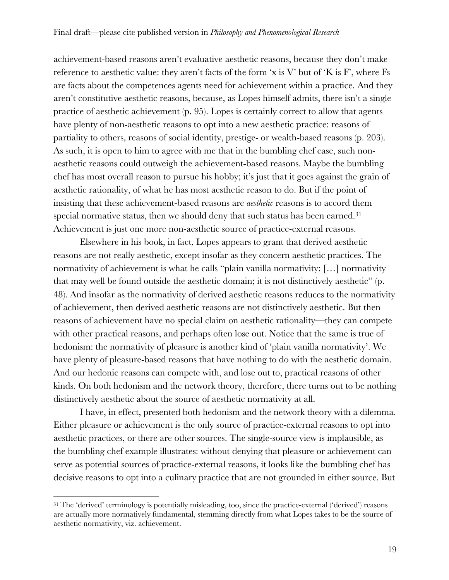achievement-based reasons aren't evaluative aesthetic reasons, because they don't make reference to aesthetic value: they aren't facts of the form 'x is V' but of 'K is F', where  $Fs$ are facts about the competences agents need for achievement within a practice. And they aren't constitutive aesthetic reasons, because, as Lopes himself admits, there isn't a single practice of aesthetic achievement (p. 95). Lopes is certainly correct to allow that agents have plenty of non-aesthetic reasons to opt into a new aesthetic practice: reasons of partiality to others, reasons of social identity, prestige- or wealth-based reasons (p. 203). As such, it is open to him to agree with me that in the bumbling chef case, such nonaesthetic reasons could outweigh the achievement-based reasons. Maybe the bumbling chef has most overall reason to pursue his hobby; it's just that it goes against the grain of aesthetic rationality, of what he has most aesthetic reason to do. But if the point of insisting that these achievement-based reasons are *aesthetic* reasons is to accord them special normative status, then we should deny that such status has been earned.<sup>31</sup> Achievement is just one more non-aesthetic source of practice-external reasons.

Elsewhere in his book, in fact, Lopes appears to grant that derived aesthetic reasons are not really aesthetic, except insofar as they concern aesthetic practices. The normativity of achievement is what he calls "plain vanilla normativity: […] normativity that may well be found outside the aesthetic domain; it is not distinctively aesthetic" (p. 48). And insofar as the normativity of derived aesthetic reasons reduces to the normativity of achievement, then derived aesthetic reasons are not distinctively aesthetic. But then reasons of achievement have no special claim on aesthetic rationality—they can compete with other practical reasons, and perhaps often lose out. Notice that the same is true of hedonism: the normativity of pleasure is another kind of 'plain vanilla normativity'. We have plenty of pleasure-based reasons that have nothing to do with the aesthetic domain. And our hedonic reasons can compete with, and lose out to, practical reasons of other kinds. On both hedonism and the network theory, therefore, there turns out to be nothing distinctively aesthetic about the source of aesthetic normativity at all.

I have, in effect, presented both hedonism and the network theory with a dilemma. Either pleasure or achievement is the only source of practice-external reasons to opt into aesthetic practices, or there are other sources. The single-source view is implausible, as the bumbling chef example illustrates: without denying that pleasure or achievement can serve as potential sources of practice-external reasons, it looks like the bumbling chef has decisive reasons to opt into a culinary practice that are not grounded in either source. But

<sup>&</sup>lt;sup>31</sup> The 'derived' terminology is potentially misleading, too, since the practice-external ('derived') reasons are actually more normatively fundamental, stemming directly from what Lopes takes to be the source of aesthetic normativity, viz. achievement.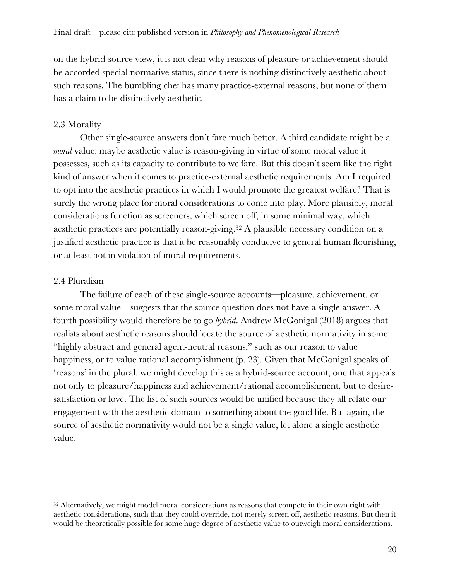on the hybrid-source view, it is not clear why reasons of pleasure or achievement should be accorded special normative status, since there is nothing distinctively aesthetic about such reasons. The bumbling chef has many practice-external reasons, but none of them has a claim to be distinctively aesthetic.

### 2.3 Morality

Other single-source answers don't fare much better. A third candidate might be a *moral* value: maybe aesthetic value is reason-giving in virtue of some moral value it possesses, such as its capacity to contribute to welfare. But this doesn't seem like the right kind of answer when it comes to practice-external aesthetic requirements. Am I required to opt into the aesthetic practices in which I would promote the greatest welfare? That is surely the wrong place for moral considerations to come into play. More plausibly, moral considerations function as screeners, which screen off, in some minimal way, which aesthetic practices are potentially reason-giving.32 A plausible necessary condition on a justified aesthetic practice is that it be reasonably conducive to general human flourishing, or at least not in violation of moral requirements.

#### 2.4 Pluralism

The failure of each of these single-source accounts—pleasure, achievement, or some moral value—suggests that the source question does not have a single answer. A fourth possibility would therefore be to go *hybrid*. Andrew McGonigal (2018) argues that realists about aesthetic reasons should locate the source of aesthetic normativity in some "highly abstract and general agent-neutral reasons," such as our reason to value happiness, or to value rational accomplishment (p. 23). Given that McGonigal speaks of 'reasons' in the plural, we might develop this as a hybrid-source account, one that appeals not only to pleasure/happiness and achievement/rational accomplishment, but to desiresatisfaction or love. The list of such sources would be unified because they all relate our engagement with the aesthetic domain to something about the good life. But again, the source of aesthetic normativity would not be a single value, let alone a single aesthetic value.

<sup>&</sup>lt;sup>32</sup> Alternatively, we might model moral considerations as reasons that compete in their own right with aesthetic considerations, such that they could override, not merely screen off, aesthetic reasons. But then it would be theoretically possible for some huge degree of aesthetic value to outweigh moral considerations.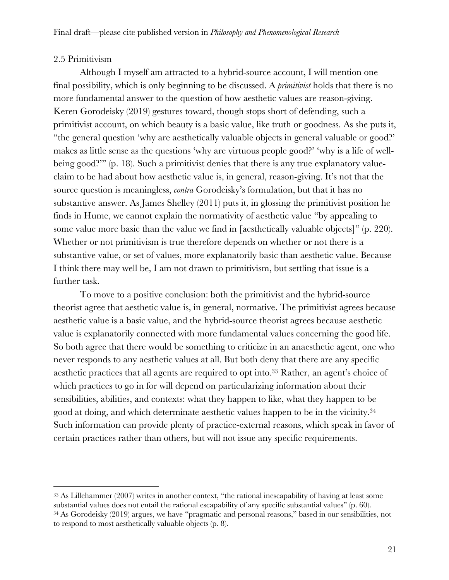## 2.5 Primitivism

Although I myself am attracted to a hybrid-source account, I will mention one final possibility, which is only beginning to be discussed. A *primitivist* holds that there is no more fundamental answer to the question of how aesthetic values are reason-giving. Keren Gorodeisky (2019) gestures toward, though stops short of defending, such a primitivist account, on which beauty is a basic value, like truth or goodness. As she puts it, "the general question 'why are aesthetically valuable objects in general valuable or good?' makes as little sense as the questions 'why are virtuous people good?' 'why is a life of wellbeing good?"" (p. 18). Such a primitivist denies that there is any true explanatory valueclaim to be had about how aesthetic value is, in general, reason-giving. It's not that the source question is meaningless, *contra* Gorodeisky's formulation, but that it has no substantive answer. As James Shelley (2011) puts it, in glossing the primitivist position he finds in Hume, we cannot explain the normativity of aesthetic value "by appealing to some value more basic than the value we find in [aesthetically valuable objects]" (p. 220). Whether or not primitivism is true therefore depends on whether or not there is a substantive value, or set of values, more explanatorily basic than aesthetic value. Because I think there may well be, I am not drawn to primitivism, but settling that issue is a further task.

To move to a positive conclusion: both the primitivist and the hybrid-source theorist agree that aesthetic value is, in general, normative. The primitivist agrees because aesthetic value is a basic value, and the hybrid-source theorist agrees because aesthetic value is explanatorily connected with more fundamental values concerning the good life. So both agree that there would be something to criticize in an anaesthetic agent, one who never responds to any aesthetic values at all. But both deny that there are any specific aesthetic practices that all agents are required to opt into.33 Rather, an agent's choice of which practices to go in for will depend on particularizing information about their sensibilities, abilities, and contexts: what they happen to like, what they happen to be good at doing, and which determinate aesthetic values happen to be in the vicinity.34 Such information can provide plenty of practice-external reasons, which speak in favor of certain practices rather than others, but will not issue any specific requirements.

<sup>33</sup> As Lillehammer (2007) writes in another context, "the rational inescapability of having at least some substantial values does not entail the rational escapability of any specific substantial values" (p. 60). <sup>34</sup> As Gorodeisky (2019) argues, we have "pragmatic and personal reasons," based in our sensibilities, not to respond to most aesthetically valuable objects (p. 8).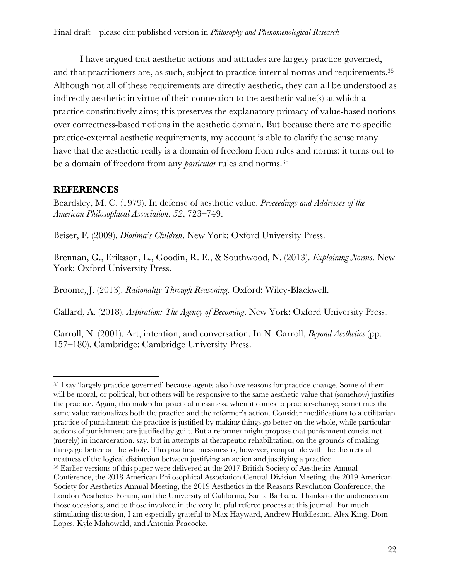I have argued that aesthetic actions and attitudes are largely practice-governed, and that practitioners are, as such, subject to practice-internal norms and requirements.35 Although not all of these requirements are directly aesthetic, they can all be understood as indirectly aesthetic in virtue of their connection to the aesthetic value(s) at which a practice constitutively aims; this preserves the explanatory primacy of value-based notions over correctness-based notions in the aesthetic domain. But because there are no specific practice-external aesthetic requirements, my account is able to clarify the sense many have that the aesthetic really is a domain of freedom from rules and norms: it turns out to be a domain of freedom from any *particular* rules and norms.36

# **REFERENCES**

Beardsley, M. C. (1979). In defense of aesthetic value. *Proceedings and Addresses of the American Philosophical Association*, *52*, 723–749.

Beiser, F. (2009). *Diotima's Children*. New York: Oxford University Press.

Brennan, G., Eriksson, L., Goodin, R. E., & Southwood, N. (2013). *Explaining Norms*. New York: Oxford University Press.

Broome, J. (2013). *Rationality Through Reasoning*. Oxford: Wiley-Blackwell.

Callard, A. (2018). *Aspiration: The Agency of Becoming*. New York: Oxford University Press.

Carroll, N. (2001). Art, intention, and conversation. In N. Carroll, *Beyond Aesthetics* (pp. 157–180). Cambridge: Cambridge University Press.

<sup>35</sup> I say 'largely practice-governed' because agents also have reasons for practice-change. Some of them will be moral, or political, but others will be responsive to the same aesthetic value that (somehow) justifies the practice. Again, this makes for practical messiness: when it comes to practice-change, sometimes the same value rationalizes both the practice and the reformer's action. Consider modifications to a utilitarian practice of punishment: the practice is justified by making things go better on the whole, while particular actions of punishment are justified by guilt. But a reformer might propose that punishment consist not (merely) in incarceration, say, but in attempts at therapeutic rehabilitation, on the grounds of making things go better on the whole. This practical messiness is, however, compatible with the theoretical neatness of the logical distinction between justifying an action and justifying a practice. <sup>36</sup> Earlier versions of this paper were delivered at the 2017 British Society of Aesthetics Annual Conference, the 2018 American Philosophical Association Central Division Meeting, the 2019 American Society for Aesthetics Annual Meeting, the 2019 Aesthetics in the Reasons Revolution Conference, the London Aesthetics Forum, and the University of California, Santa Barbara. Thanks to the audiences on those occasions, and to those involved in the very helpful referee process at this journal. For much stimulating discussion, I am especially grateful to Max Hayward, Andrew Huddleston, Alex King, Dom Lopes, Kyle Mahowald, and Antonia Peacocke.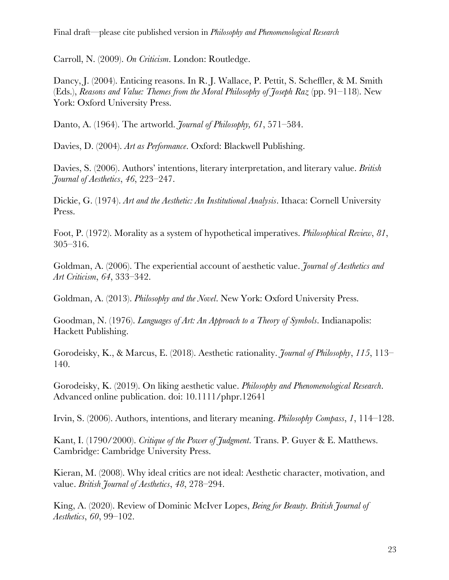Carroll, N. (2009). *On Criticism*. London: Routledge.

Dancy, J. (2004). Enticing reasons. In R. J. Wallace, P. Pettit, S. Scheffler, & M. Smith (Eds.), *Reasons and Value: Themes from the Moral Philosophy of Joseph Raz* (pp. 91–118). New York: Oxford University Press.

Danto, A. (1964). The artworld. *Journal of Philosophy, 61*, 571–584.

Davies, D. (2004). *Art as Performance*. Oxford: Blackwell Publishing.

Davies, S. (2006). Authors' intentions, literary interpretation, and literary value. *British Journal of Aesthetics*, *46*, 223–247.

Dickie, G. (1974). *Art and the Aesthetic: An Institutional Analysis*. Ithaca: Cornell University Press.

Foot, P. (1972). Morality as a system of hypothetical imperatives. *Philosophical Review*, *81*, 305–316.

Goldman, A. (2006). The experiential account of aesthetic value. *Journal of Aesthetics and Art Criticism*, *64*, 333–342.

Goldman, A. (2013). *Philosophy and the Novel*. New York: Oxford University Press.

Goodman, N. (1976). *Languages of Art: An Approach to a Theory of Symbols*. Indianapolis: Hackett Publishing.

Gorodeisky, K., & Marcus, E. (2018). Aesthetic rationality. *Journal of Philosophy*, *115*, 113– 140.

Gorodeisky, K. (2019). On liking aesthetic value. *Philosophy and Phenomenological Research*. Advanced online publication. doi: 10.1111/phpr.12641

Irvin, S. (2006). Authors, intentions, and literary meaning. *Philosophy Compass*, *1*, 114–128.

Kant, I. (1790/2000). *Critique of the Power of Judgment*. Trans. P. Guyer & E. Matthews. Cambridge: Cambridge University Press.

Kieran, M. (2008). Why ideal critics are not ideal: Aesthetic character, motivation, and value. *British Journal of Aesthetics*, *48*, 278–294.

King, A. (2020). Review of Dominic McIver Lopes, *Being for Beauty. British Journal of Aesthetics*, *60*, 99–102.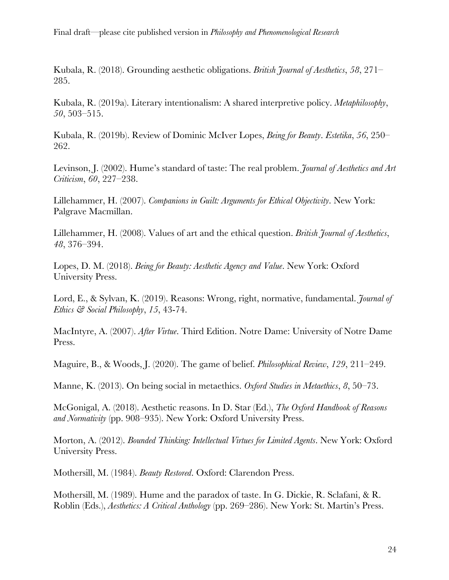Final draft—please cite published version in *Philosophy and Phenomenological Research*

Kubala, R. (2018). Grounding aesthetic obligations. *British Journal of Aesthetics*, *58*, 271– 285.

Kubala, R. (2019a). Literary intentionalism: A shared interpretive policy. *Metaphilosophy*, *50*, 503–515.

Kubala, R. (2019b). Review of Dominic McIver Lopes, *Being for Beauty*. *Estetika*, *56*, 250– 262.

Levinson, J. (2002). Hume's standard of taste: The real problem. *Journal of Aesthetics and Art Criticism*, *60*, 227–238.

Lillehammer, H. (2007). *Companions in Guilt: Arguments for Ethical Objectivity*. New York: Palgrave Macmillan.

Lillehammer, H. (2008). Values of art and the ethical question. *British Journal of Aesthetics*, *48*, 376–394.

Lopes, D. M. (2018). *Being for Beauty: Aesthetic Agency and Value*. New York: Oxford University Press.

Lord, E., & Sylvan, K. (2019). Reasons: Wrong, right, normative, fundamental. *Journal of Ethics & Social Philosophy*, *15*, 43-74.

MacIntyre, A. (2007). *After Virtue*. Third Edition. Notre Dame: University of Notre Dame Press.

Maguire, B., & Woods, J. (2020). The game of belief. *Philosophical Review*, *129*, 211–249.

Manne, K. (2013). On being social in metaethics. *Oxford Studies in Metaethics*, *8*, 50–73.

McGonigal, A. (2018). Aesthetic reasons. In D. Star (Ed.), *The Oxford Handbook of Reasons and Normativity* (pp. 908–935). New York: Oxford University Press.

Morton, A. (2012). *Bounded Thinking: Intellectual Virtues for Limited Agents*. New York: Oxford University Press.

Mothersill, M. (1984). *Beauty Restored*. Oxford: Clarendon Press.

Mothersill, M. (1989). Hume and the paradox of taste. In G. Dickie, R. Sclafani, & R. Roblin (Eds.), *Aesthetics: A Critical Anthology* (pp. 269–286). New York: St. Martin's Press.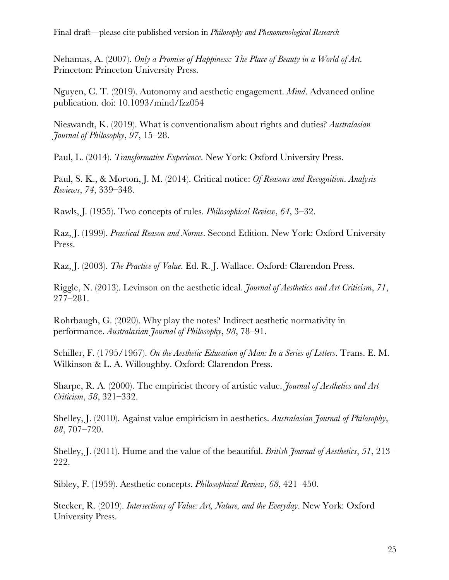Final draft—please cite published version in *Philosophy and Phenomenological Research*

Nehamas, A. (2007). *Only a Promise of Happiness: The Place of Beauty in a World of Art*. Princeton: Princeton University Press.

Nguyen, C. T. (2019). Autonomy and aesthetic engagement. *Mind*. Advanced online publication. doi: 10.1093/mind/fzz054

Nieswandt, K. (2019). What is conventionalism about rights and duties? *Australasian Journal of Philosophy*, *97*, 15–28.

Paul, L. (2014). *Transformative Experience*. New York: Oxford University Press.

Paul, S. K., & Morton, J. M. (2014). Critical notice: *Of Reasons and Recognition*. *Analysis Reviews*, *74*, 339–348.

Rawls, J. (1955). Two concepts of rules. *Philosophical Review*, *64*, 3–32.

Raz, J. (1999). *Practical Reason and Norms*. Second Edition. New York: Oxford University Press.

Raz, J. (2003). *The Practice of Value*. Ed. R. J. Wallace. Oxford: Clarendon Press.

Riggle, N. (2013). Levinson on the aesthetic ideal. *Journal of Aesthetics and Art Criticism*, *71*, 277–281.

Rohrbaugh, G. (2020). Why play the notes? Indirect aesthetic normativity in performance. *Australasian Journal of Philosophy*, *98*, 78–91.

Schiller, F. (1795/1967). *On the Aesthetic Education of Man: In a Series of Letters*. Trans. E. M. Wilkinson & L. A. Willoughby. Oxford: Clarendon Press.

Sharpe, R. A. (2000). The empiricist theory of artistic value. *Journal of Aesthetics and Art Criticism*, *58*, 321–332.

Shelley, J. (2010). Against value empiricism in aesthetics. *Australasian Journal of Philosophy*, *88*, 707–720.

Shelley, J. (2011). Hume and the value of the beautiful. *British Journal of Aesthetics*, *51*, 213– 222.

Sibley, F. (1959). Aesthetic concepts. *Philosophical Review*, *68*, 421–450.

Stecker, R. (2019). *Intersections of Value: Art, Nature, and the Everyday*. New York: Oxford University Press.